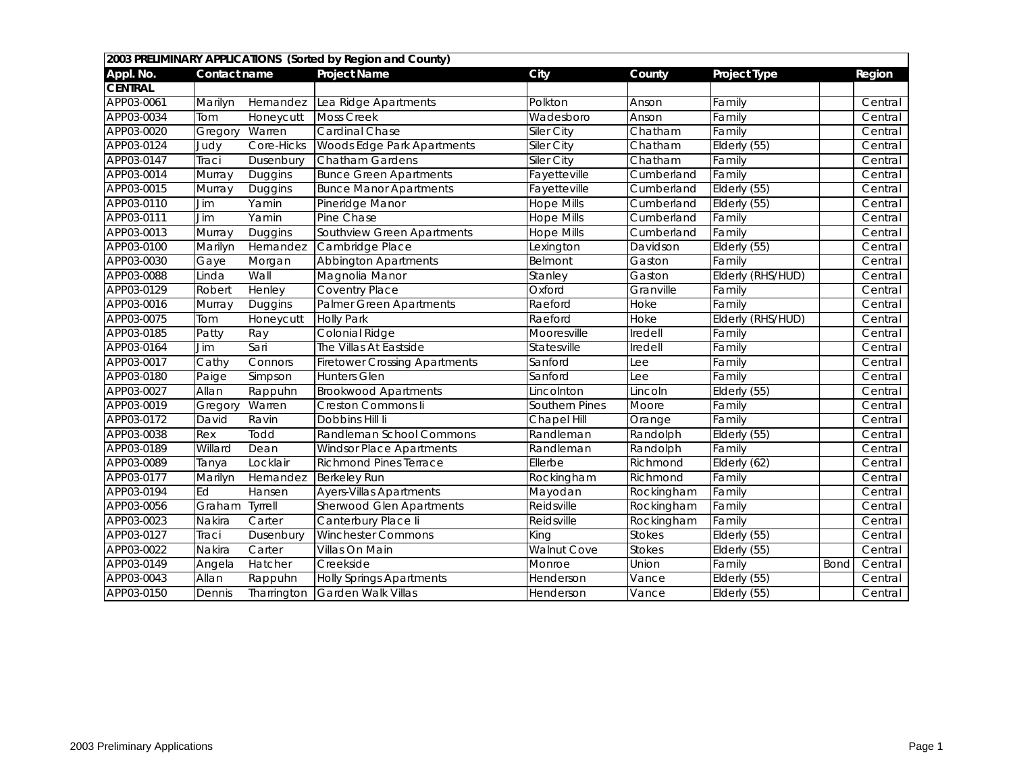|                |              |             | 2003 PRELIMINARY APPLICATIONS (Sorted by Region and County) |                    |               |                     |      |         |
|----------------|--------------|-------------|-------------------------------------------------------------|--------------------|---------------|---------------------|------|---------|
| Appl. No.      | Contact name |             | <b>Project Name</b>                                         | <b>City</b>        | County        | <b>Project Type</b> |      | Region  |
| <b>CENTRAL</b> |              |             |                                                             |                    |               |                     |      |         |
| APP03-0061     | Marilyn      | Hernandez   | Lea Ridge Apartments                                        | Polkton            | Anson         | Family              |      | Central |
| APP03-0034     | Tom          | Honeycutt   | <b>Moss Creek</b>                                           | Wadesboro          | Anson         | Family              |      | Central |
| APP03-0020     | Gregory      | Warren      | <b>Cardinal Chase</b>                                       | <b>Siler City</b>  | Chatham       | Family              |      | Central |
| APP03-0124     | Judy         | Core-Hicks  | <b>Woods Edge Park Apartments</b>                           | <b>Siler City</b>  | Chatham       | Elderly (55)        |      | Central |
| APP03-0147     | Traci        | Dusenbury   | <b>Chatham Gardens</b>                                      | <b>Siler City</b>  | Chatham       | Family              |      | Central |
| APP03-0014     | Murray       | Duggins     | <b>Bunce Green Apartments</b>                               | Fayetteville       | Cumberland    | Family              |      | Central |
| APP03-0015     | Murray       | Duggins     | <b>Bunce Manor Apartments</b>                               | Fayetteville       | Cumberland    | Elderly (55)        |      | Central |
| APP03-0110     | Jim          | Yamin       | Pineridge Manor                                             | <b>Hope Mills</b>  | Cumberland    | Elderly (55)        |      | Central |
| APP03-0111     | <b>Jim</b>   | Yamin       | Pine Chase                                                  | <b>Hope Mills</b>  | Cumberland    | Family              |      | Central |
| APP03-0013     | Murray       | Duggins     | Southview Green Apartments                                  | <b>Hope Mills</b>  | Cumberland    | Family              |      | Central |
| APP03-0100     | Marilyn      | Hernandez   | Cambridge Place                                             | Lexington          | Davidson      | Elderly (55)        |      | Central |
| APP03-0030     | Gaye         | Morgan      | <b>Abbington Apartments</b>                                 | Belmont            | Gaston        | Family              |      | Central |
| APP03-0088     | Linda        | Wall        | Magnolia Manor                                              | Stanley            | Gaston        | Elderly (RHS/HUD)   |      | Central |
| APP03-0129     | Robert       | Henley      | <b>Coventry Place</b>                                       | Oxford             | Granville     | Family              |      | Central |
| APP03-0016     | Murray       | Duggins     | <b>Palmer Green Apartments</b>                              | Raeford            | <b>Hoke</b>   | Family              |      | Central |
| APP03-0075     | Tom          | Honeycutt   | <b>Holly Park</b>                                           | Raeford            | Hoke          | Elderly (RHS/HUD)   |      | Central |
| APP03-0185     | Patty        | Ray         | Colonial Ridge                                              | Mooresville        | Iredell       | Family              |      | Central |
| APP03-0164     | Jim          | Sari        | The Villas At Eastside                                      | Statesville        | Iredell       | Family              |      | Central |
| APP03-0017     | Cathy        | Connors     | <b>Firetower Crossing Apartments</b>                        | Sanford            | Lee           | Family              |      | Central |
| APP03-0180     | Paige        | Simpson     | <b>Hunters Glen</b>                                         | Sanford            | Lee           | Family              |      | Central |
| APP03-0027     | Allan        | Rappuhn     | <b>Brookwood Apartments</b>                                 | Lincolnton         | Lincoln       | Elderly (55)        |      | Central |
| APP03-0019     | Gregory      | Warren      | <b>Creston Commons li</b>                                   | Southern Pines     | Moore         | Family              |      | Central |
| APP03-0172     | David        | Ravin       | Dobbins Hill Ii                                             | Chapel Hill        | Orange        | Family              |      | Central |
| APP03-0038     | Rex          | Todd        | Randleman School Commons                                    | Randleman          | Randolph      | Elderly (55)        |      | Central |
| APP03-0189     | Willard      | Dean        | <b>Windsor Place Apartments</b>                             | Randleman          | Randolph      | Family              |      | Central |
| APP03-0089     | Tanya        | Locklair    | <b>Richmond Pines Terrace</b>                               | Ellerbe            | Richmond      | Elderly (62)        |      | Central |
| APP03-0177     | Marilyn      | Hernandez   | <b>Berkeley Run</b>                                         | Rockingham         | Richmond      | Family              |      | Central |
| APP03-0194     | Ed           | Hansen      | <b>Ayers-Villas Apartments</b>                              | Mayodan            | Rockingham    | Family              |      | Central |
| APP03-0056     | Graham       | Tyrrell     | <b>Sherwood Glen Apartments</b>                             | Reidsville         | Rockingham    | Family              |      | Central |
| APP03-0023     | Nakira       | Carter      | Canterbury Place li                                         | Reidsville         | Rockingham    | Family              |      | Central |
| APP03-0127     | Traci        | Dusenbury   | <b>Winchester Commons</b>                                   | King               | <b>Stokes</b> | Elderly (55)        |      | Central |
| APP03-0022     | Nakira       | Carter      | Villas On Main                                              | <b>Walnut Cove</b> | <b>Stokes</b> | Elderly (55)        |      | Central |
| APP03-0149     | Angela       | Hatcher     | Creekside                                                   | Monroe             | Union         | Family              | Bond | Central |
| APP03-0043     | Allan        | Rappuhn     | <b>Holly Springs Apartments</b>                             | Henderson          | Vance         | Elderly (55)        |      | Central |
| APP03-0150     | Dennis       | Tharrington | <b>Garden Walk Villas</b>                                   | Henderson          | Vance         | Elderly (55)        |      | Central |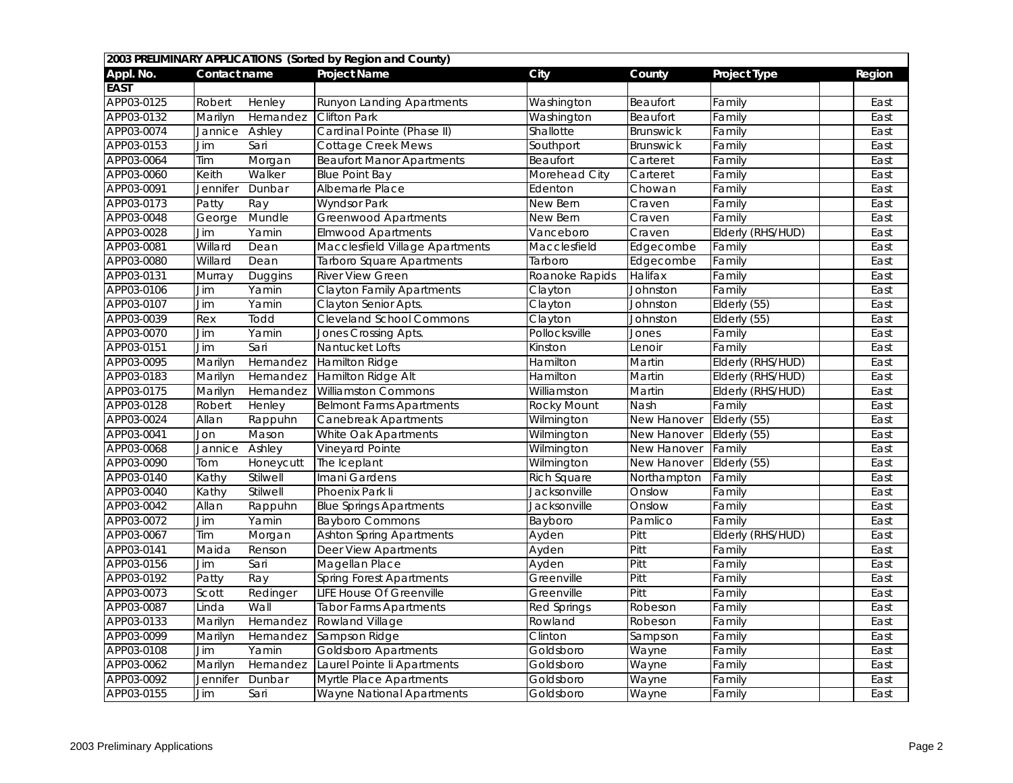| 2003 PRELIMINARY APPLICATIONS (Sorted by Region and County) |              |           |                                  |                    |                    |                    |        |  |  |
|-------------------------------------------------------------|--------------|-----------|----------------------------------|--------------------|--------------------|--------------------|--------|--|--|
| Appl. No.                                                   | Contact name |           | <b>Project Name</b>              | City               | County             | Project Type       | Region |  |  |
| <b>EAST</b>                                                 |              |           |                                  |                    |                    |                    |        |  |  |
| APP03-0125                                                  | Robert       | Henley    | <b>Runyon Landing Apartments</b> | Washington         | Beaufort           | Family             | East   |  |  |
| APP03-0132                                                  | Marilyn      | Hernandez | <b>Clifton Park</b>              | Washington         | Beaufort           | <sup>-</sup> amily | East   |  |  |
| APP03-0074                                                  | Jannice      | Ashley    | Cardinal Pointe (Phase II)       | Shallotte          | <b>Brunswick</b>   | Family             | East   |  |  |
| APP03-0153                                                  | Jim          | Sari      | <b>Cottage Creek Mews</b>        | Southport          | Brunswick          | Family             | East   |  |  |
| APP03-0064                                                  | <b>Tim</b>   | Morgan    | <b>Beaufort Manor Apartments</b> | Beaufort           | Carteret           | Family             | East   |  |  |
| APP03-0060                                                  | Keith        | Walker    | <b>Blue Point Bay</b>            | Morehead City      | Carteret           | Family             | East   |  |  |
| APP03-0091                                                  | Jennifer     | Dunbar    | Albemarle Place                  | Edenton            | Chowan             | Family             | East   |  |  |
| APP03-0173                                                  | Patty        | Ray       | <b>Wyndsor Park</b>              | New Bern           | Craven             | Family             | East   |  |  |
| APP03-0048                                                  | George       | Mundle    | <b>Greenwood Apartments</b>      | New Bern           | Craven             | Family             | East   |  |  |
| APP03-0028                                                  | Jim          | Yamin     | <b>Elmwood Apartments</b>        | Vanceboro          | Craven             | Elderly (RHS/HUD)  | East   |  |  |
| APP03-0081                                                  | Willard      | Dean      | Macclesfield Village Apartments  | Macclesfield       | Edgecombe          | Family             | East   |  |  |
| APP03-0080                                                  | Willard      | Dean      | <b>Tarboro Square Apartments</b> | Tarboro            | Edgecombe          | Family             | East   |  |  |
| APP03-0131                                                  | Murray       | Duggins   | <b>River View Green</b>          | Roanoke Rapids     | Halifax            | Family             | East   |  |  |
| APP03-0106                                                  | Jim          | Yamin     | <b>Clayton Family Apartments</b> | Clayton            | <b>Johnston</b>    | Family             | East   |  |  |
| APP03-0107                                                  | Jim          | Yamin     | <b>Clayton Senior Apts.</b>      | Clayton            | Johnston           | Elderly (55)       | East   |  |  |
| APP03-0039                                                  | Rex          | Todd      | <b>Cleveland School Commons</b>  | Clayton            | <b>Johnston</b>    | Elderly (55)       | East   |  |  |
| APP03-0070                                                  | Jim          | Yamin     | Jones Crossing Apts.             | Pollocksville      | Jones              | Family             | East   |  |  |
| APP03-0151                                                  | Jim          | Sari      | Nantucket Lofts                  | Kinston            | Lenoir             | Family             | East   |  |  |
| APP03-0095                                                  | Marilyn      | Hernandez | Hamilton Ridge                   | Hamilton           | Martin             | Elderly (RHS/HUD)  | East   |  |  |
| APP03-0183                                                  | Marilyn      | Hernandez | Hamilton Ridge Alt               | Hamilton           | Martin             | Elderly (RHS/HUD)  | East   |  |  |
| APP03-0175                                                  | Marilyn      | Hernandez | <b>Williamston Commons</b>       | Williamston        | Martin             | Elderly (RHS/HUD)  | East   |  |  |
| APP03-0128                                                  | Robert       | Henley    | <b>Belmont Farms Apartments</b>  | <b>Rocky Mount</b> | <b>Nash</b>        | Family             | East   |  |  |
| APP03-0024                                                  | Allan        | Rappuhn   | <b>Canebreak Apartments</b>      | Wilmington         | New Hanover        | Elderly (55)       | East   |  |  |
| APP03-0041                                                  | Jon          | Mason     | White Oak Apartments             | Wilmington         | <b>New Hanover</b> | Elderly (55)       | East   |  |  |
| APP03-0068                                                  | Jannice      | Ashley    | <b>Vineyard Pointe</b>           | Wilmington         | <b>New Hanover</b> | Family             | East   |  |  |
| APP03-0090                                                  | Tom          | Honeycutt | The Iceplant                     | Wilmington         | New Hanover        | Elderly (55)       | East   |  |  |
| APP03-0140                                                  | Kathy        | Stilwell  | Imani Gardens                    | <b>Rich Square</b> | Northampton        | Family             | East   |  |  |
| APP03-0040                                                  | Kathy        | Stilwell  | Phoenix Park li                  | Jacksonville       | Onslow             | Family             | East   |  |  |
| APP03-0042                                                  | Allan        | Rappuhn   | <b>Blue Springs Apartments</b>   | Jacksonville       | Onslow             | Family             | East   |  |  |
| APP03-0072                                                  | Jim          | Yamin     | <b>Bayboro Commons</b>           | Bayboro            | Pamlico            | Family             | East   |  |  |
| APP03-0067                                                  | Tim          | Morgan    | <b>Ashton Spring Apartments</b>  | Ayden              | Pitt               | Elderly (RHS/HUD)  | East   |  |  |
| APP03-0141                                                  | Maida        | Renson    | <b>Deer View Apartments</b>      | Ayden              | Pitt               | Family             | East   |  |  |
| APP03-0156                                                  | Jim          | Sari      | <b>Magellan Place</b>            | Ayden              | Pitt               | Family             | East   |  |  |
| APP03-0192                                                  | Patty        | Ray       | <b>Spring Forest Apartments</b>  | Greenville         | Pitt               | Family             | East   |  |  |
| APP03-0073                                                  | Scott        | Redinger  | <b>LIFE House Of Greenville</b>  | Greenville         | Pitt               | Family             | East   |  |  |
| APP03-0087                                                  | Linda        | Wall      | <b>Tabor Farms Apartments</b>    | <b>Red Springs</b> | Robeson            | Family             | East   |  |  |
| APP03-0133                                                  | Marilyn      | Hernandez | <b>Rowland Village</b>           | Rowland            | Robeson            | Family             | East   |  |  |
| APP03-0099                                                  | Marilyn      | Hernandez | Sampson Ridge                    | Clinton            | Sampson            | Family             | East   |  |  |
| APP03-0108                                                  | Jim          | Yamin     | <b>Goldsboro Apartments</b>      | Goldsboro          | Wayne              | Family             | East   |  |  |
| APP03-0062                                                  | Marilyn      | Hernandez | Laurel Pointe li Apartments      | Goldsboro          | Wayne              | Family             | East   |  |  |
| APP03-0092                                                  | Jennifer     | Dunbar    | <b>Myrtle Place Apartments</b>   | Goldsboro          | Wayne              | Family             | East   |  |  |
| APP03-0155                                                  | Jim          | Sari      | <b>Wayne National Apartments</b> | Goldsboro          | Wayne              | Family             | East   |  |  |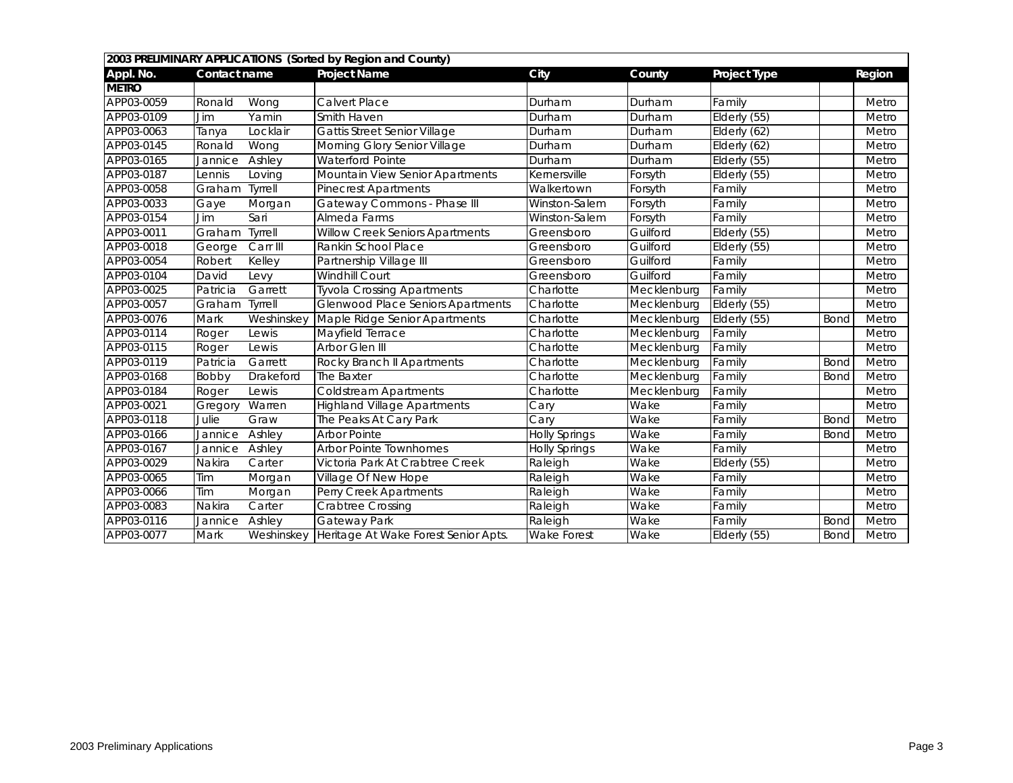| 2003 PRELIMINARY APPLICATIONS (Sorted by Region and County) |               |                |                                                 |                      |             |                            |             |        |  |
|-------------------------------------------------------------|---------------|----------------|-------------------------------------------------|----------------------|-------------|----------------------------|-------------|--------|--|
| Appl. No.                                                   | Contact name  |                | <b>Project Name</b>                             | City                 | County      | Project Type               |             | Region |  |
| <b>METRO</b>                                                |               |                |                                                 |                      |             |                            |             |        |  |
| APP03-0059                                                  | Ronald        | Wong           | <b>Calvert Place</b>                            | Durham               | Durham      | Family                     |             | Metro  |  |
| APP03-0109                                                  | Jim           | Yamin          | <b>Smith Haven</b>                              | Durham               | Durham      | Elderly (55)               |             | Metro  |  |
| APP03-0063                                                  | Tanya         | Locklair       | <b>Gattis Street Senior Village</b>             | Durham               | Durham      | Elderly (62)               |             | Metro  |  |
| APP03-0145                                                  | Ronald        | Wong           | Morning Glory Senior Village                    | Durham               | Durham      | Elderly (62)               |             | Metro  |  |
| APP03-0165                                                  | Jannice       | Ashley         | <b>Waterford Pointe</b>                         | Durham               | Durham      | Elderly (55)               |             | Metro  |  |
| APP03-0187                                                  | Lennis        | Loving         | Mountain View Senior Apartments                 | Kernersville         | Forsyth     | $\overline{E}$ Iderly (55) |             | Metro  |  |
| APP03-0058                                                  | Graham        | <b>Tyrrell</b> | <b>Pinecrest Apartments</b>                     | Walkertown           | Forsyth     | Family                     |             | Metro  |  |
| APP03-0033                                                  | Gaye          | Morgan         | Gateway Commons - Phase III                     | Winston-Salem        | Forsyth     | Family                     |             | Metro  |  |
| APP03-0154                                                  | Jim           | Sari           | Almeda Farms                                    | Winston-Salem        | Forsyth     | Family                     |             | Metro  |  |
| APP03-0011                                                  | Graham        | <b>Tyrrell</b> | <b>Willow Creek Seniors Apartments</b>          | Greensboro           | Guilford    | Elderly (55)               |             | Metro  |  |
| APP03-0018                                                  | George        | Carr III       | Rankin School Place                             | Greensboro           | Guilford    | $Elderly$ (55)             |             | Metro  |  |
| APP03-0054                                                  | Robert        | Kelley         | Partnership Village III                         | Greensboro           | Guilford    | Family                     |             | Metro  |  |
| APP03-0104                                                  | David         | Levy           | <b>Windhill Court</b>                           | Greensboro           | Guilford    | Family                     |             | Metro  |  |
| APP03-0025                                                  | Patricia      | Garrett        | <b>Tyvola Crossing Apartments</b>               | Charlotte            | Mecklenburg | Family                     |             | Metro  |  |
| APP03-0057                                                  | Graham        | Tyrrell        | <b>Glenwood Place Seniors Apartments</b>        | Charlotte            | Mecklenburg | Elderly (55)               |             | Metro  |  |
| APP03-0076                                                  | <b>Mark</b>   | Weshinskey     | Maple Ridge Senior Apartments                   | Charlotte            | Mecklenburg | Elderly (55)               | <b>Bond</b> | Metro  |  |
| APP03-0114                                                  | Roger         | Lewis          | <b>Mayfield Terrace</b>                         | Charlotte            | Mecklenburg | Family                     |             | Metro  |  |
| APP03-0115                                                  | Roger         | Lewis          | Arbor Glen III                                  | Charlotte            | Mecklenburg | Family                     |             | Metro  |  |
| APP03-0119                                                  | Patricia      | Garrett        | Rocky Branch II Apartments                      | Charlotte            | Mecklenburg | Family                     | Bond        | Metro  |  |
| APP03-0168                                                  | Bobby         | Drakeford      | The Baxter                                      | Charlotte            | Mecklenburg | Family                     | Bond        | Metro  |  |
| APP03-0184                                                  | Roger         | Lewis          | <b>Coldstream Apartments</b>                    | Charlotte            | Mecklenburg | Family                     |             | Metro  |  |
| APP03-0021                                                  | Gregory       | Warren         | <b>Highland Village Apartments</b>              | Cary                 | Wake        | Family                     |             | Metro  |  |
| APP03-0118                                                  | Julie         | Graw           | The Peaks At Cary Park                          | Cary                 | Wake        | Family                     | Bond        | Metro  |  |
| APP03-0166                                                  | Jannice       | Ashley         | <b>Arbor Pointe</b>                             | Holly Springs        | Wake        | Family                     | Bond        | Metro  |  |
| APP03-0167                                                  | Jannice       | Ashley         | <b>Arbor Pointe Townhomes</b>                   | <b>Holly Springs</b> | Wake        | Family                     |             | Metro  |  |
| APP03-0029                                                  | Nakira        | Carter         | Victoria Park At Crabtree Creek                 | Raleigh              | Wake        | Elderly (55)               |             | Metro  |  |
| APP03-0065                                                  | Tim           | Morgan         | Village Of New Hope                             | Raleigh              | Wake        | Family                     |             | Metro  |  |
| APP03-0066                                                  | Tim           | Morgan         | Perry Creek Apartments                          | Raleigh              | Wake        | Family                     |             | Metro  |  |
| APP03-0083                                                  | <b>Nakira</b> | Carter         | <b>Crabtree Crossing</b>                        | Raleigh              | Wake        | Family                     |             | Metro  |  |
| APP03-0116                                                  | Jannice       | Ashley         | <b>Gateway Park</b>                             | Raleigh              | Wake        | Family                     | Bond        | Metro  |  |
| APP03-0077                                                  | Mark          |                | Weshinskey Heritage At Wake Forest Senior Apts. | Wake Forest          | Wake        | Elderly (55)               | <b>Bond</b> | Metro  |  |